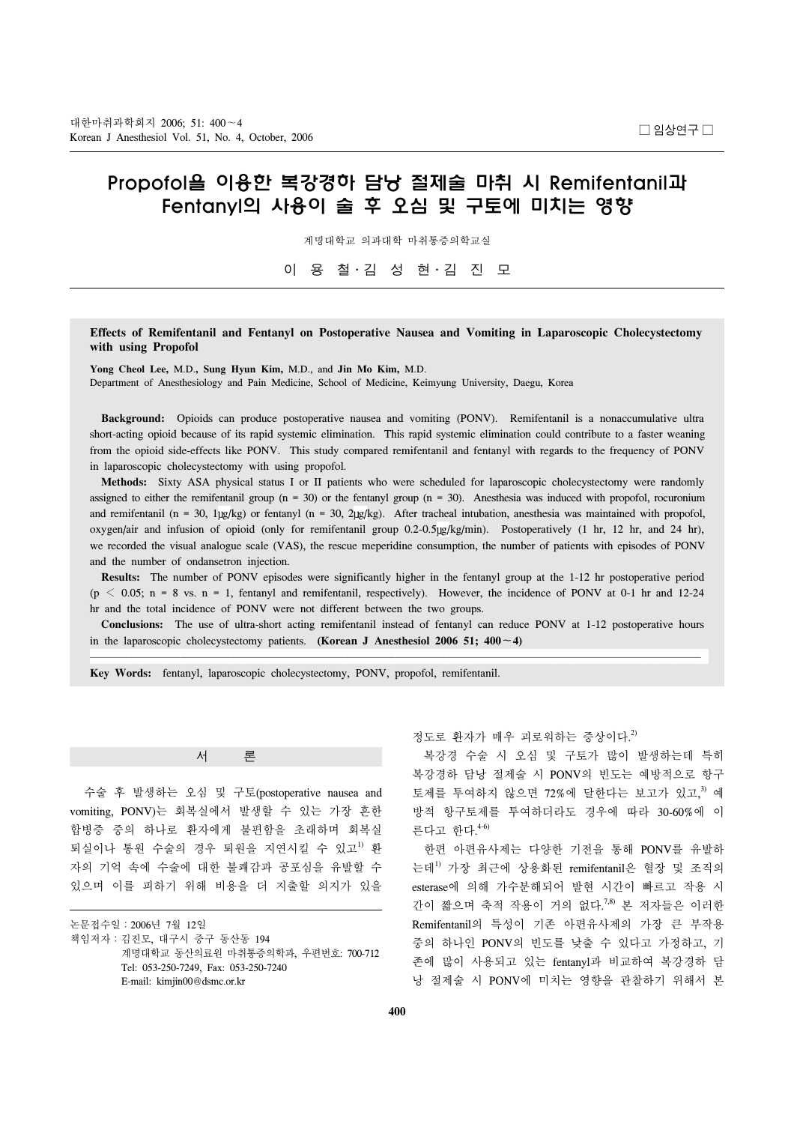# Propofol을 이용한 복강경하 담낭 절제술 마취 시 Remifentanil과 Fentanyl의 사용이 술 후 오심 및 구토에 미치는 영향

계명대학교 의과대학 마취통증의학교실

이 용 철․김 성 현․김 진 모

### **Effects of Remifentanil and Fentanyl on Postoperative Nausea and Vomiting in Laparoscopic Cholecystectomy with using Propofol**

**Yong Cheol Lee,** M.D.**, Sung Hyun Kim,** M.D., and **Jin Mo Kim,** M.D. Department of Anesthesiology and Pain Medicine, School of Medicine, Keimyung University, Daegu, Korea

 **Background:** Opioids can produce postoperative nausea and vomiting (PONV). Remifentanil is a nonaccumulative ultra short-acting opioid because of its rapid systemic elimination. This rapid systemic elimination could contribute to a faster weaning from the opioid side-effects like PONV. This study compared remifentanil and fentanyl with regards to the frequency of PONV in laparoscopic cholecystectomy with using propofol.

 **Methods:** Sixty ASA physical status I or II patients who were scheduled for laparoscopic cholecystectomy were randomly assigned to either the remifentanil group ( $n = 30$ ) or the fentanyl group ( $n = 30$ ). Anesthesia was induced with propofol, rocuronium and remifentanil (n = 30,  $1\mu g/kg$ ) or fentanyl (n = 30,  $2\mu g/kg$ ). After tracheal intubation, anesthesia was maintained with propofol, oxygen/air and infusion of opioid (only for remifentanil group 0.2-0.5 lg/kg/min). Postoperatively (1 hr, 12 hr, and 24 hr), we recorded the visual analogue scale (VAS), the rescue meperidine consumption, the number of patients with episodes of PONV and the number of ondansetron injection.

 **Results:** The number of PONV episodes were significantly higher in the fentanyl group at the 1-12 hr postoperative period  $(p < 0.05; n = 8 \text{ vs. } n = 1, \text{ fentanyl and remifentanil, respectively)}$ . However, the incidence of PONV at 0-1 hr and 12-24 hr and the total incidence of PONV were not different between the two groups.

 **Conclusions:** The use of ultra-short acting remifentanil instead of fentanyl can reduce PONV at 1-12 postoperative hours in the laparoscopic cholecystectomy patients. **(Korean J Anesthesiol 2006 51; 400**∼**4)**

**Key Words:** fentanyl, laparoscopic cholecystectomy, PONV, propofol, remifentanil.

## 서 론

 수술 후 발생하는 오심 및 구토(postoperative nausea and vomiting, PONV)는 회복실에서 발생할 수 있는 가장 흔한 합병증 중의 하나로 환자에게 불편함을 초래하며 회복실 퇴실이나 통원 수술의 경우 퇴원을 지연시킬 수 있고<sup>1)</sup> 환 자의 기억 속에 수술에 대한 불쾌감과 공포심을 유발할 수 있으며 이를 피하기 위해 비용을 더 지출할 의지가 있을

논문접수일:2006년 7월 12일 책임저자:김진모, 대구시 중구 동산동 194 계명대학교 동산의료원 마취통증의학과, 우편번호: 700-712 Tel: 053-250-7249, Fax: 053-250-7240 E-mail: kimjin00@dsmc.or.kr

정도로 환자가 매우 괴로워하는 증상이다.<sup>2)</sup>

 복강경 수술 시 오심 및 구토가 많이 발생하는데 특히 복강경하 담낭 절제술 시 PONV의 빈도는 예방적으로 항구 토제를 투여하지 않으면 72%에 달한다는 보고가 있고, 3) 예 방적 항구토제를 투여하더라도 경우에 따라 30-60%에 이 른다고 한다. 4-6)

 한편 아편유사제는 다양한 기전을 통해 PONV를 유발하 는데1) 가장 최근에 상용화된 remifentanil은 혈장 및 조직의 esterase에 의해 가수분해되어 발현 시간이 빠르고 작용 시 간이 짧으며 축적 작용이 거의 없다. 7,8) 본 저자들은 이러한 Remifentanil의 특성이 기존 아편유사제의 가장 큰 부작용 중의 하나인 PONV의 빈도를 낮출 수 있다고 가정하고, 기 존에 많이 사용되고 있는 fentanyl과 비교하여 복강경하 담 낭 절제술 시 PONV에 미치는 영향을 관찰하기 위해서 본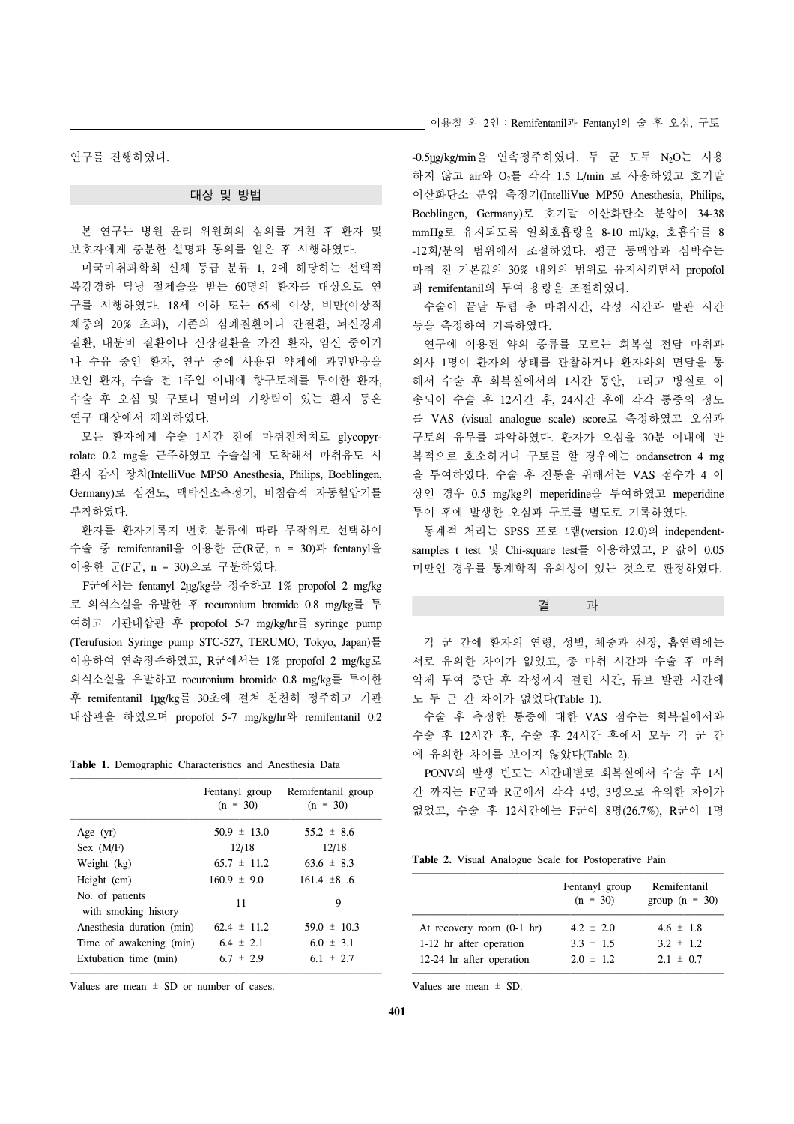연구를 진행하였다.

#### 대상 및 방법

 본 연구는 병원 윤리 위원회의 심의를 거친 후 환자 및 보호자에게 충분한 설명과 동의를 얻은 후 시행하였다.

 미국마취과학회 신체 등급 분류 1, 2에 해당하는 선택적 복강경하 담낭 절제술을 받는 60명의 환자를 대상으로 연 구를 시행하였다. 18세 이하 또는 65세 이상, 비만(이상적 체중의 20% 초과), 기존의 심폐질환이나 간질환, 뇌신경계 질환, 내분비 질환이나 신장질환을 가진 환자, 임신 중이거 나 수유 중인 환자, 연구 중에 사용된 약제에 과민반응을 보인 환자, 수술 전 1주일 이내에 항구토제를 투여한 환자, 수술 후 오심 및 구토나 멀미의 기왕력이 있는 환자 등은 연구 대상에서 제외하였다.

 모든 환자에게 수술 1시간 전에 마취전처치로 glycopyrrolate 0.2 mg을 근주하였고 수술실에 도착해서 마취유도 시 환자 감시 장치(IntelliVue MP50 Anesthesia, Philips, Boeblingen, Germany)로 심전도, 맥박산소측정기, 비침습적 자동혈압기를 부착하였다.

 환자를 환자기록지 번호 분류에 따라 무작위로 선택하여 수술 중 remifentanil을 이용한 군(R군, n = 30)과 fentanyl을 이용한 군(F군, n = 30)으로 구분하였다.

F군에서는 fentanyl 2 ug/kg을 정주하고 1% propofol 2 mg/kg 로 의식소실을 유발한 후 rocuronium bromide 0.8 mg/kg를 투 여하고 기관내삽관 후 propofol 5-7 mg/kg/hr를 syringe pump (Terufusion Syringe pump STC-527, TERUMO, Tokyo, Japan)를 이용하여 연속정주하였고, R군에서는 1% propofol 2 mg/kg로 의식소실을 유발하고 rocuronium bromide 0.8 mg/kg를 투여한 후 remifentanil 1µg/kg를 30초에 걸쳐 천천히 정주하고 기관 내삽관을 하였으며 propofol 5-7 mg/kg/hr와 remifentanil 0.2

| <b>Table 1.</b> Demographic Characteristics and Anesthesia Data |  |
|-----------------------------------------------------------------|--|
|-----------------------------------------------------------------|--|

|                                         | Fentanyl group<br>$(n = 30)$ | Remifentanil group<br>$(n = 30)$ |
|-----------------------------------------|------------------------------|----------------------------------|
| Age $(yr)$                              | $50.9 \pm 13.0$              | $55.2 \pm 8.6$                   |
| Sex (M/F)                               | 12/18                        | 12/18                            |
| Weight (kg)                             | $65.7 \pm 11.2$              | $63.6 \pm 8.3$                   |
| Height (cm)                             | $160.9 \pm 9.0$              | $161.4 \pm 8.6$                  |
| No. of patients<br>with smoking history | 11                           | 9                                |
| Anesthesia duration (min)               | $62.4 \pm 11.2$              | $59.0 \pm 10.3$                  |
| Time of awakening (min)                 | $6.4 \pm 2.1$                | $6.0 \pm 3.1$                    |
| Extubation time (min)                   | $6.7 \pm 2.9$                | 6.1 $\pm$ 2.7                    |

Values are mean  $\pm$  SD or number of cases.

이용철 외 2인:Remifentanil과 Fentanyl의 술 후 오심, 구토

-0.5ug/kg/min을 연속정주하였다. 두 군 모두 N<sub>2</sub>O는 사용 하지 않고 air와 O2를 각각 1.5 L/min 로 사용하였고 호기말 이산화탄소 분압 측정기(IntelliVue MP50 Anesthesia, Philips, Boeblingen, Germany)로 호기말 이산화탄소 분압이 34-38 mmHg로 유지되도록 일회호흡량을 8-10 ml/kg, 호흡수를 8 -12회/분의 범위에서 조절하였다. 평균 동맥압과 심박수는 마취 전 기본값의 30% 내외의 범위로 유지시키면서 propofol 과 remifentanil의 투여 용량을 조절하였다.

 수술이 끝날 무렵 총 마취시간, 각성 시간과 발관 시간 등을 측정하여 기록하였다.

 연구에 이용된 약의 종류를 모르는 회복실 전담 마취과 의사 1명이 환자의 상태를 관찰하거나 환자와의 면담을 통 해서 수술 후 회복실에서의 1시간 동안, 그리고 병실로 이 송되어 수술 후 12시간 후, 24시간 후에 각각 통증의 정도 를 VAS (visual analogue scale) score로 측정하였고 오심과 구토의 유무를 파악하였다. 환자가 오심을 30분 이내에 반 복적으로 호소하거나 구토를 할 경우에는 ondansetron 4 mg 을 투여하였다. 수술 후 진통을 위해서는 VAS 점수가 4 이 상인 경우 0.5 mg/kg의 meperidine을 투여하였고 meperidine 투여 후에 발생한 오심과 구토를 별도로 기록하였다.

 통계적 처리는 SPSS 프로그램(version 12.0)의 independentsamples t test 및 Chi-square test를 이용하였고, P 값이 0.05 미만인 경우를 통계학적 유의성이 있는 것으로 판정하였다.

결 과

 각 군 간에 환자의 연령, 성별, 체중과 신장, 흡연력에는 서로 유의한 차이가 없었고, 총 마취 시간과 수술 후 마취 약제 투여 중단 후 각성까지 걸린 시간, 튜브 발관 시간에 도 두 군 간 차이가 없었다(Table 1).

 수술 후 측정한 통증에 대한 VAS 점수는 회복실에서와 수술 후 12시간 후, 수술 후 24시간 후에서 모두 각 군 간 에 유의한 차이를 보이지 않았다(Table 2).

 PONV의 발생 빈도는 시간대별로 회복실에서 수술 후 1시 간 까지는 F군과 R군에서 각각 4명, 3명으로 유의한 차이가 없었고, 수술 후 12시간에는 F군이 8명(26.7%), R군이 1명

|  |  |  |  |  | <b>Table 2.</b> Visual Analogue Scale for Postoperative Pain |  |
|--|--|--|--|--|--------------------------------------------------------------|--|
|--|--|--|--|--|--------------------------------------------------------------|--|

|                                     | Fentanyl group<br>$(n = 30)$ | Remifentanil<br>group $(n = 30)$ |
|-------------------------------------|------------------------------|----------------------------------|
| At recovery room $(0-1 \text{ hr})$ | $4.2 \pm 2.0$                | $4.6 \pm 1.8$                    |
| 1-12 hr after operation             | $3.3 \pm 1.5$                | $3.2 \pm 1.2$                    |
| 12-24 hr after operation            | $2.0 \pm 1.2$                | $2.1 \pm 0.7$                    |

Values are mean  $\pm$  SD.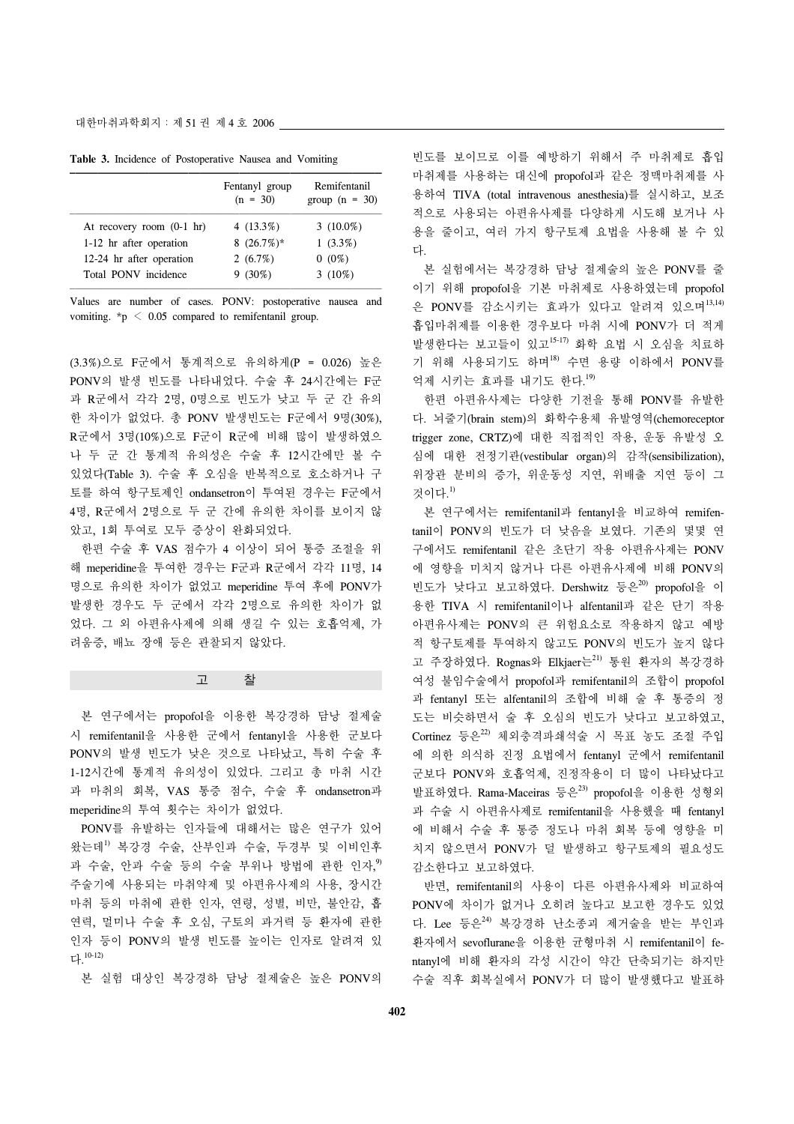**Table 3.** Incidence of Postoperative Nausea and Vomiting

|                                     | Fentanyl group<br>$(n = 30)$ | Remifentanil<br>group $(n = 30)$ |
|-------------------------------------|------------------------------|----------------------------------|
| At recovery room $(0-1 \text{ hr})$ | 4 $(13.3\%)$                 | $3(10.0\%)$                      |
| 1-12 hr after operation             | 8 $(26.7%)$ *                | $1(3.3\%)$                       |
| 12-24 hr after operation            | 2(6.7%)                      | $0(0\%)$                         |
| Total PONV incidence                | $9(30\%)$                    | $3(10\%)$                        |

Values are number of cases. PONV: postoperative nausea and vomiting. \*p < 0.05 compared to remifentanil group.

(3.3%)으로 F군에서 통계적으로 유의하게(P = 0.026) 높은 PONV의 발생 빈도를 나타내었다. 수술 후 24시간에는 F군 과 R군에서 각각 2명, 0명으로 빈도가 낮고 두 군 간 유의 한 차이가 없었다. 총 PONV 발생빈도는 F군에서 9명(30%), R군에서 3명(10%)으로 F군이 R군에 비해 많이 발생하였으 나 두 군 간 통계적 유의성은 수술 후 12시간에만 볼 수 있었다(Table 3). 수술 후 오심을 반복적으로 호소하거나 구 토를 하여 항구토제인 ondansetron이 투여된 경우는 F군에서 4명, R군에서 2명으로 두 군 간에 유의한 차이를 보이지 않 았고, 1회 투여로 모두 증상이 완화되었다.

 한편 수술 후 VAS 점수가 4 이상이 되어 통증 조절을 위 해 meperidine을 투여한 경우는 F군과 R군에서 각각 11명, 14 명으로 유의한 차이가 없었고 meperidine 투여 후에 PONV가 발생한 경우도 두 군에서 각각 2명으로 유의한 차이가 없 었다. 그 외 아편유사제에 의해 생길 수 있는 호흡억제, 가 려움증, 배뇨 장애 등은 관찰되지 않았다.

고 찰

 본 연구에서는 propofol을 이용한 복강경하 담낭 절제술 시 remifentanil을 사용한 군에서 fentanyl을 사용한 군보다 PONV의 발생 빈도가 낮은 것으로 나타났고, 특히 수술 후 1-12시간에 통계적 유의성이 있었다. 그리고 총 마취 시간 과 마취의 회복, VAS 통증 점수, 수술 후 ondansetron과 meperidine의 투여 횟수는 차이가 없었다.

 PONV를 유발하는 인자들에 대해서는 많은 연구가 있어 왔는데1) 복강경 수술, 산부인과 수술, 두경부 및 이비인후 과 수술, 안과 수술 등의 수술 부위나 방법에 관한 인자,<sup>9</sup> 주술기에 사용되는 마취약제 및 아편유사제의 사용, 장시간 마취 등의 마취에 관한 인자, 연령, 성별, 비만, 불안감, 흡 연력, 멀미나 수술 후 오심, 구토의 과거력 등 환자에 관한 인자 등이 PONV의 발생 빈도를 높이는 인자로 알려져 있 다. 10-12)

본 실험 대상인 복강경하 담낭 절제술은 높은 PONV의

빈도를 보이므로 이를 예방하기 위해서 주 마취제로 흡입 마취제를 사용하는 대신에 propofol과 같은 정맥마취제를 사 용하여 TIVA (total intravenous anesthesia)를 실시하고, 보조 적으로 사용되는 아편유사제를 다양하게 시도해 보거나 사 용을 줄이고, 여러 가지 항구토제 요법을 사용해 볼 수 있 다.

 본 실험에서는 복강경하 담낭 절제술의 높은 PONV를 줄 이기 위해 propofol을 기본 마취제로 사용하였는데 propofol 은 PONV를 감소시키는 효과가 있다고 알려져 있으며<sup>13,14)</sup> 흡입마취제를 이용한 경우보다 마취 시에 PONV가 더 적게 발생한다는 보고들이 있고15-17) 화학 요법 시 오심을 치료하 기 위해 사용되기도 하며<sup>18)</sup> 수면 용량 이하에서 PONV를 억제 시키는 효과를 내기도 한다. 19)

 한편 아편유사제는 다양한 기전을 통해 PONV를 유발한 다. 뇌줄기(brain stem)의 화학수용체 유발영역(chemoreceptor trigger zone, CRTZ)에 대한 직접적인 작용, 운동 유발성 오 심에 대한 전정기관(vestibular organ)의 감작(sensibilization), 위장관 분비의 증가, 위운동성 지연, 위배출 지연 등이 그 것이다. 1)

 본 연구에서는 remifentanil과 fentanyl을 비교하여 remifentanil이 PONV의 빈도가 더 낮음을 보였다. 기존의 몇몇 연 구에서도 remifentanil 같은 초단기 작용 아편유사제는 PONV 에 영향을 미치지 않거나 다른 아편유사제에 비해 PONV의 빈도가 낮다고 보고하였다. Dershwitz 등은<sup>20)</sup> propofol을 이 용한 TIVA 시 remifentanil이나 alfentanil과 같은 단기 작용 아편유사제는 PONV의 큰 위험요소로 작용하지 않고 예방 적 항구토제를 투여하지 않고도 PONV의 빈도가 높지 않다 고 주장하였다. Rognas와 Elkjaer는<sup>21)</sup> 통원 환자의 복강경하 여성 불임수술에서 propofol과 remifentanil의 조합이 propofol 과 fentanyl 또는 alfentanil의 조합에 비해 술 후 통증의 정 도는 비슷하면서 술 후 오심의 빈도가 낮다고 보고하였고, Cortinez 등은<sup>22)</sup> 체외충격파쇄석술 시 목표 농도 조절 주입 에 의한 의식하 진정 요법에서 fentanyl 군에서 remifentanil 군보다 PONV와 호흡억제, 진정작용이 더 많이 나타났다고 발표하였다. Rama-Maceiras 등은<sup>23)</sup> propofol을 이용한 성형외 과 수술 시 아편유사제로 remifentanil을 사용했을 때 fentanyl 에 비해서 수술 후 통증 정도나 마취 회복 등에 영향을 미 치지 않으면서 PONV가 덜 발생하고 항구토제의 필요성도 감소한다고 보고하였다.

 반면, remifentanil의 사용이 다른 아편유사제와 비교하여 PONV에 차이가 없거나 오히려 높다고 보고한 경우도 있었 다. Lee 등은24) 복강경하 난소종괴 제거술을 받는 부인과 환자에서 sevoflurane을 이용한 균형마취 시 remifentanil이 fentanyl에 비해 환자의 각성 시간이 약간 단축되기는 하지만 수술 직후 회복실에서 PONV가 더 많이 발생했다고 발표하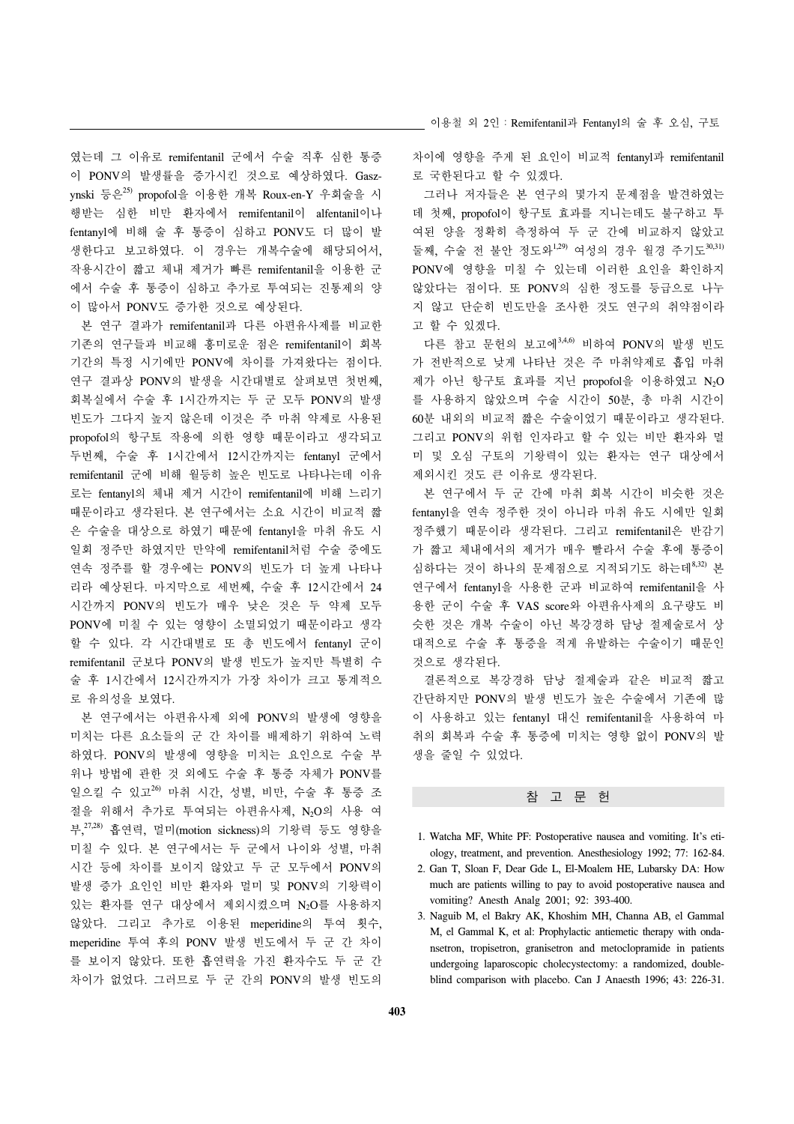였는데 그 이유로 remifentanil 군에서 수술 직후 심한 통증 이 PONV의 발생률을 증가시킨 것으로 예상하였다. Gaszynski 등은25) propofol을 이용한 개복 Roux-en-Y 우회술을 시 행받는 심한 비만 환자에서 remifentanil이 alfentanil이나 fentanyl에 비해 술 후 통증이 심하고 PONV도 더 많이 발 생한다고 보고하였다. 이 경우는 개복수술에 해당되어서, 작용시간이 짧고 체내 제거가 빠른 remifentanil을 이용한 군 에서 수술 후 통증이 심하고 추가로 투여되는 진통제의 양 이 많아서 PONV도 증가한 것으로 예상된다.

 본 연구 결과가 remifentanil과 다른 아편유사제를 비교한 기존의 연구들과 비교해 흥미로운 점은 remifentanil이 회복 기간의 특정 시기에만 PONV에 차이를 가져왔다는 점이다. 연구 결과상 PONV의 발생을 시간대별로 살펴보면 첫번째, 회복실에서 수술 후 1시간까지는 두 군 모두 PONV의 발생 빈도가 그다지 높지 않은데 이것은 주 마취 약제로 사용된 propofol의 항구토 작용에 의한 영향 때문이라고 생각되고 두번째, 수술 후 1시간에서 12시간까지는 fentanyl 군에서 remifentanil 군에 비해 월등히 높은 빈도로 나타나는데 이유 로는 fentanyl의 체내 제거 시간이 remifentanil에 비해 느리기 때문이라고 생각된다. 본 연구에서는 소요 시간이 비교적 짧 은 수술을 대상으로 하였기 때문에 fentanyl을 마취 유도 시 일회 정주만 하였지만 만약에 remifentanil처럼 수술 중에도 연속 정주를 할 경우에는 PONV의 빈도가 더 높게 나타나 리라 예상된다. 마지막으로 세번째, 수술 후 12시간에서 24 시간까지 PONV의 빈도가 매우 낮은 것은 두 약제 모두 PONV에 미칠 수 있는 영향이 소멸되었기 때문이라고 생각 할 수 있다. 각 시간대별로 또 총 빈도에서 fentanyl 군이 remifentanil 군보다 PONV의 발생 빈도가 높지만 특별히 수 술 후 1시간에서 12시간까지가 가장 차이가 크고 통계적으 로 유의성을 보였다.

 본 연구에서는 아편유사제 외에 PONV의 발생에 영향을 미치는 다른 요소들의 군 간 차이를 배제하기 위하여 노력 하였다. PONV의 발생에 영향을 미치는 요인으로 수술 부 위나 방법에 관한 것 외에도 수술 후 통증 자체가 PONV를 일으킬 수 있고 $^{26}$  마취 시간, 성별, 비만, 수술 후 통증 조 절을 위해서 추가로 투여되는 아편유사제, N2O의 사용 여 부, 27,28) 흡연력, 멀미(motion sickness)의 기왕력 등도 영향을 미칠 수 있다. 본 연구에서는 두 군에서 나이와 성별, 마취 시간 등에 차이를 보이지 않았고 두 군 모두에서 PONV의 발생 증가 요인인 비만 환자와 멀미 및 PONV의 기왕력이 있는 환자를 연구 대상에서 제외시켰으며 N2O를 사용하지 않았다. 그리고 추가로 이용된 meperidine의 투여 횟수, meperidine 투여 후의 PONV 발생 빈도에서 두 군 간 차이 를 보이지 않았다. 또한 흡연력을 가진 환자수도 두 군 간 차이가 없었다. 그러므로 두 군 간의 PONV의 발생 빈도의

이용철 외 2인:Remifentanil과 Fentanyl의 술 후 오심, 구토

차이에 영향을 주게 된 요인이 비교적 fentanyl과 remifentanil 로 국한된다고 할 수 있겠다.

 그러나 저자들은 본 연구의 몇가지 문제점을 발견하였는 데 첫째, propofol이 항구토 효과를 지니는데도 불구하고 투 여된 양을 정확히 측정하여 두 군 간에 비교하지 않았고 둘째, 수술 전 불안 정도와<sup>1,29)</sup> 여성의 경우 월경 주기도<sup>30,31)</sup> PONV에 영향을 미칠 수 있는데 이러한 요인을 확인하지 않았다는 점이다. 또 PONV의 심한 정도를 등급으로 나누 지 않고 단순히 빈도만을 조사한 것도 연구의 취약점이라 고 할 수 있겠다.

 다른 참고 문헌의 보고에3,4,6) 비하여 PONV의 발생 빈도 가 전반적으로 낮게 나타난 것은 주 마취약제로 흡입 마취 제가 아닌 항구토 효과를 지닌 propofol을 이용하였고 N<sub>2</sub>O 를 사용하지 않았으며 수술 시간이 50분, 총 마취 시간이 60분 내외의 비교적 짧은 수술이었기 때문이라고 생각된다. 그리고 PONV의 위험 인자라고 할 수 있는 비만 환자와 멀 미 및 오심 구토의 기왕력이 있는 환자는 연구 대상에서 제외시킨 것도 큰 이유로 생각된다.

 본 연구에서 두 군 간에 마취 회복 시간이 비슷한 것은 fentanyl을 연속 정주한 것이 아니라 마취 유도 시에만 일회 정주했기 때문이라 생각된다. 그리고 remifentanil은 반감기 가 짧고 체내에서의 제거가 매우 빨라서 수술 후에 통증이 심하다는 것이 하나의 문제점으로 지적되기도 하는데8,32) 본 연구에서 fentanyl을 사용한 군과 비교하여 remifentanil을 사 용한 군이 수술 후 VAS score와 아편유사제의 요구량도 비 슷한 것은 개복 수술이 아닌 복강경하 담낭 절제술로서 상 대적으로 수술 후 통증을 적게 유발하는 수술이기 때문인 것으로 생각된다.

 결론적으로 복강경하 담낭 절제술과 같은 비교적 짧고 간단하지만 PONV의 발생 빈도가 높은 수술에서 기존에 많 이 사용하고 있는 fentanyl 대신 remifentanil을 사용하여 마 취의 회복과 수술 후 통증에 미치는 영향 없이 PONV의 발 생을 줄일 수 있었다.

## 참 고 문 헌

- 1. Watcha MF, White PF: Postoperative nausea and vomiting. It's etiology, treatment, and prevention. Anesthesiology 1992; 77: 162-84.
- 2. Gan T, Sloan F, Dear Gde L, El-Moalem HE, Lubarsky DA: How much are patients willing to pay to avoid postoperative nausea and vomiting? Anesth Analg 2001; 92: 393-400.
- 3. Naguib M, el Bakry AK, Khoshim MH, Channa AB, el Gammal M, el Gammal K, et al: Prophylactic antiemetic therapy with ondansetron, tropisetron, granisetron and metoclopramide in patients undergoing laparoscopic cholecystectomy: a randomized, doubleblind comparison with placebo. Can J Anaesth 1996; 43: 226-31.